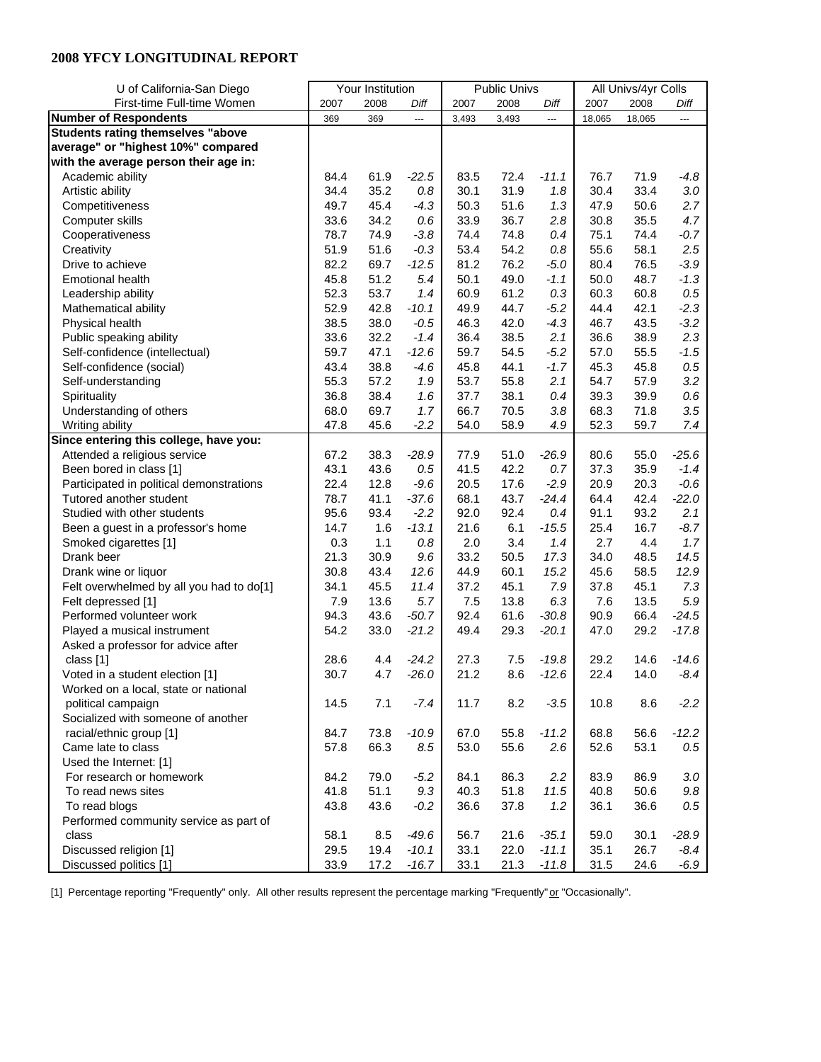| U of California-San Diego                |      | Your Institution |         |       | <b>Public Univs</b> |         | All Univs/4yr Colls |        |         |
|------------------------------------------|------|------------------|---------|-------|---------------------|---------|---------------------|--------|---------|
| First-time Full-time Women               | 2007 | 2008             | Diff    | 2007  | 2008                | Diff    | 2007                | 2008   | Diff    |
| <b>Number of Respondents</b>             | 369  | 369              | ---     | 3,493 | 3,493               | ---     | 18,065              | 18,065 | ---     |
| <b>Students rating themselves "above</b> |      |                  |         |       |                     |         |                     |        |         |
| average" or "highest 10%" compared       |      |                  |         |       |                     |         |                     |        |         |
| with the average person their age in:    |      |                  |         |       |                     |         |                     |        |         |
| Academic ability                         | 84.4 | 61.9             | $-22.5$ | 83.5  | 72.4                | $-11.1$ | 76.7                | 71.9   | -4.8    |
| Artistic ability                         | 34.4 | 35.2             | 0.8     | 30.1  | 31.9                | 1.8     | 30.4                | 33.4   | $3.0\,$ |
| Competitiveness                          | 49.7 | 45.4             | $-4.3$  | 50.3  | 51.6                | 1.3     | 47.9                | 50.6   | 2.7     |
| Computer skills                          | 33.6 | 34.2             | 0.6     | 33.9  | 36.7                | 2.8     | 30.8                | 35.5   | 4.7     |
| Cooperativeness                          | 78.7 | 74.9             | $-3.8$  | 74.4  | 74.8                | 0.4     | 75.1                | 74.4   | $-0.7$  |
| Creativity                               | 51.9 | 51.6             | $-0.3$  | 53.4  | 54.2                | 0.8     | 55.6                | 58.1   | 2.5     |
| Drive to achieve                         | 82.2 | 69.7             | $-12.5$ | 81.2  | 76.2                | $-5.0$  | 80.4                | 76.5   | $-3.9$  |
| <b>Emotional health</b>                  | 45.8 | 51.2             | 5.4     | 50.1  | 49.0                | $-1.1$  | 50.0                | 48.7   | $-1.3$  |
| Leadership ability                       | 52.3 | 53.7             | 1.4     | 60.9  | 61.2                | 0.3     | 60.3                | 60.8   | $0.5\,$ |
| Mathematical ability                     | 52.9 | 42.8             | $-10.1$ | 49.9  | 44.7                | $-5.2$  | 44.4                | 42.1   | $-2.3$  |
| Physical health                          | 38.5 | 38.0             | $-0.5$  | 46.3  | 42.0                | $-4.3$  | 46.7                | 43.5   | $-3.2$  |
| Public speaking ability                  | 33.6 | 32.2             | $-1.4$  | 36.4  | 38.5                | 2.1     | 36.6                | 38.9   | 2.3     |
| Self-confidence (intellectual)           | 59.7 | 47.1             | $-12.6$ | 59.7  | 54.5                | $-5.2$  | 57.0                | 55.5   | $-1.5$  |
| Self-confidence (social)                 | 43.4 | 38.8             | $-4.6$  | 45.8  | 44.1                | $-1.7$  | 45.3                | 45.8   | 0.5     |
| Self-understanding                       | 55.3 | 57.2             | 1.9     | 53.7  | 55.8                | 2.1     | 54.7                | 57.9   | 3.2     |
| Spirituality                             | 36.8 | 38.4             | 1.6     | 37.7  | 38.1                | 0.4     | 39.3                | 39.9   | $0.6\,$ |
| Understanding of others                  | 68.0 | 69.7             | 1.7     | 66.7  | 70.5                | 3.8     | 68.3                | 71.8   | 3.5     |
| Writing ability                          | 47.8 | 45.6             | $-2.2$  | 54.0  | 58.9                | 4.9     | 52.3                | 59.7   | 7.4     |
| Since entering this college, have you:   |      |                  |         |       |                     |         |                     |        |         |
| Attended a religious service             | 67.2 | 38.3             | $-28.9$ | 77.9  | 51.0                | $-26.9$ | 80.6                | 55.0   | $-25.6$ |
| Been bored in class [1]                  | 43.1 | 43.6             | 0.5     | 41.5  | 42.2                | 0.7     | 37.3                | 35.9   | $-1.4$  |
| Participated in political demonstrations | 22.4 | 12.8             | $-9.6$  | 20.5  | 17.6                | $-2.9$  | 20.9                | 20.3   | $-0.6$  |
| Tutored another student                  | 78.7 | 41.1             | $-37.6$ | 68.1  | 43.7                | $-24.4$ | 64.4                | 42.4   | $-22.0$ |
| Studied with other students              | 95.6 | 93.4             | $-2.2$  | 92.0  | 92.4                | 0.4     | 91.1                | 93.2   | 2.1     |
| Been a guest in a professor's home       | 14.7 | 1.6              | $-13.1$ | 21.6  | 6.1                 | $-15.5$ | 25.4                | 16.7   | $-8.7$  |
| Smoked cigarettes [1]                    | 0.3  | 1.1              | $0.8\,$ | 2.0   | 3.4                 | 1.4     | 2.7                 | 4.4    | 1.7     |
| Drank beer                               | 21.3 | 30.9             | 9.6     | 33.2  | 50.5                | 17.3    | 34.0                | 48.5   | 14.5    |
| Drank wine or liquor                     | 30.8 | 43.4             | 12.6    | 44.9  | 60.1                | 15.2    | 45.6                | 58.5   | 12.9    |
| Felt overwhelmed by all you had to do[1] | 34.1 | 45.5             | 11.4    | 37.2  | 45.1                | 7.9     | 37.8                | 45.1   | 7.3     |
| Felt depressed [1]                       | 7.9  | 13.6             | 5.7     | 7.5   | 13.8                | 6.3     | 7.6                 | 13.5   | 5.9     |
| Performed volunteer work                 | 94.3 | 43.6             | $-50.7$ | 92.4  | 61.6                | $-30.8$ | 90.9                | 66.4   | $-24.5$ |
| Played a musical instrument              | 54.2 | 33.0             | $-21.2$ | 49.4  | 29.3                | $-20.1$ | 47.0                | 29.2   | $-17.8$ |
| Asked a professor for advice after       |      |                  |         |       |                     |         |                     |        |         |
| class [1]                                | 28.6 | 4.4              | $-24.2$ | 27.3  | 7.5                 | $-19.8$ | 29.2                | 14.6   | $-14.6$ |
| Voted in a student election [1]          | 30.7 | 4.7              | $-26.0$ | 21.2  | 8.6                 | $-12.6$ | 22.4                | 14.0   | $-8.4$  |
| Worked on a local, state or national     |      |                  |         |       |                     |         |                     |        |         |
| political campaign                       | 14.5 | 7.1              | $-7.4$  | 11.7  | 8.2                 | $-3.5$  | 10.8                | 8.6    | $-2.2$  |
| Socialized with someone of another       |      |                  |         |       |                     |         |                     |        |         |
| racial/ethnic group [1]                  | 84.7 | 73.8             | $-10.9$ | 67.0  | 55.8                | $-11.2$ | 68.8                | 56.6   | $-12.2$ |
| Came late to class                       | 57.8 | 66.3             | 8.5     | 53.0  | 55.6                | 2.6     | 52.6                | 53.1   | $0.5\,$ |
| Used the Internet: [1]                   |      |                  |         |       |                     |         |                     |        |         |
| For research or homework                 | 84.2 | 79.0             | $-5.2$  | 84.1  | 86.3                | 2.2     | 83.9                | 86.9   | $3.0\,$ |
| To read news sites                       | 41.8 | 51.1             | 9.3     | 40.3  | 51.8                | 11.5    | 40.8                | 50.6   | $9.8\,$ |
| To read blogs                            | 43.8 | 43.6             | $-0.2$  | 36.6  | 37.8                | 1.2     | 36.1                | 36.6   | $0.5\,$ |
| Performed community service as part of   |      |                  |         |       |                     |         |                     |        |         |
| class                                    | 58.1 | 8.5              | $-49.6$ | 56.7  | 21.6                | $-35.1$ | 59.0                | 30.1   | $-28.9$ |
| Discussed religion [1]                   | 29.5 | 19.4             | $-10.1$ | 33.1  | 22.0                | $-11.1$ | 35.1                | 26.7   | $-8.4$  |
| Discussed politics [1]                   | 33.9 | 17.2             | $-16.7$ | 33.1  | 21.3                | $-11.8$ | 31.5                | 24.6   | $-6.9$  |

[1] Percentage reporting "Frequently" only. All other results represent the percentage marking "Frequently" or "Occasionally".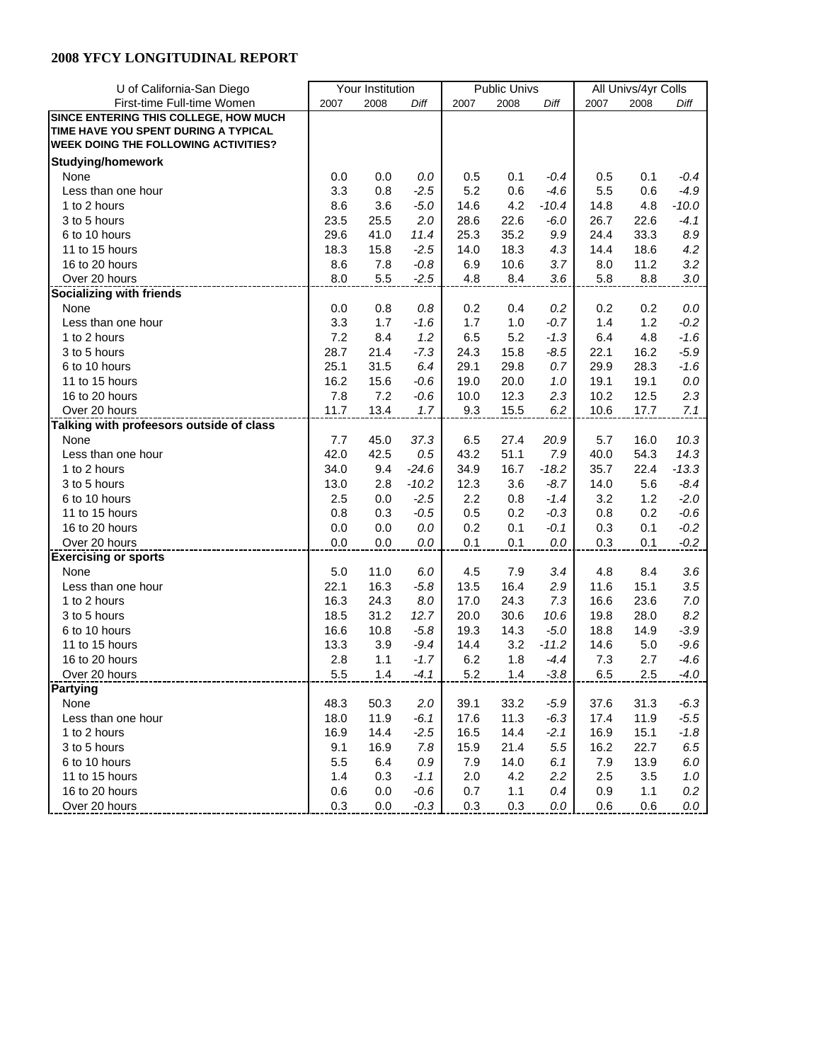| U of California-San Diego                   |      | Your Institution |         | <b>Public Univs</b> |      |            | All Univs/4yr Colls |      |                   |
|---------------------------------------------|------|------------------|---------|---------------------|------|------------|---------------------|------|-------------------|
| First-time Full-time Women                  | 2007 | 2008             | Diff    | 2007                | 2008 | Diff       | 2007                | 2008 | Diff              |
| SINCE ENTERING THIS COLLEGE, HOW MUCH       |      |                  |         |                     |      |            |                     |      |                   |
| TIME HAVE YOU SPENT DURING A TYPICAL        |      |                  |         |                     |      |            |                     |      |                   |
| <b>WEEK DOING THE FOLLOWING ACTIVITIES?</b> |      |                  |         |                     |      |            |                     |      |                   |
| <b>Studying/homework</b>                    |      |                  |         |                     |      |            |                     |      |                   |
| None                                        | 0.0  | 0.0              | 0.0     | 0.5                 | 0.1  | -0.4       | 0.5                 | 0.1  | -0.4              |
| Less than one hour                          | 3.3  | 0.8              | $-2.5$  | 5.2                 | 0.6  | $-4.6$     | 5.5                 | 0.6  | $-4.9$            |
| 1 to 2 hours                                | 8.6  | 3.6              | $-5.0$  | 14.6                | 4.2  | $-10.4$    | 14.8                | 4.8  | $-10.0$           |
| 3 to 5 hours                                | 23.5 | 25.5             | 2.0     | 28.6                | 22.6 | $-6.0$     | 26.7                | 22.6 | $-4.1$            |
| 6 to 10 hours                               | 29.6 | 41.0             | 11.4    | 25.3                | 35.2 | 9.9        | 24.4                | 33.3 | 8.9               |
| 11 to 15 hours                              | 18.3 | 15.8             | $-2.5$  | 14.0                | 18.3 | 4.3        | 14.4                | 18.6 | 4.2               |
| 16 to 20 hours                              | 8.6  | 7.8              | $-0.8$  | 6.9                 | 10.6 | 3.7        | 8.0                 | 11.2 | 3.2               |
| Over 20 hours                               | 8.0  | 5.5              | $-2.5$  | 4.8                 | 8.4  | 3.6        | 5.8                 | 8.8  | $3.0\,$           |
| <b>Socializing with friends</b>             |      |                  |         |                     |      |            |                     |      |                   |
| None                                        | 0.0  | 0.8              | 0.8     | 0.2                 | 0.4  | 0.2        | 0.2                 | 0.2  | 0.0               |
| Less than one hour                          | 3.3  | 1.7              | $-1.6$  | 1.7                 | 1.0  | $-0.7$     | 1.4                 | 1.2  | $-0.2$            |
| 1 to 2 hours                                | 7.2  | 8.4              | 1.2     | 6.5                 | 5.2  | $-1.3$     | 6.4                 | 4.8  | $-1.6$            |
| 3 to 5 hours                                | 28.7 | 21.4             | $-7.3$  | 24.3                | 15.8 | $-8.5$     | 22.1                | 16.2 | $-5.9$            |
| 6 to 10 hours                               | 25.1 | 31.5             | 6.4     | 29.1                | 29.8 |            | 29.9                | 28.3 |                   |
| 11 to 15 hours                              | 16.2 | 15.6             | $-0.6$  | 19.0                | 20.0 | 0.7<br>1.0 | 19.1                | 19.1 | $-1.6$<br>$0.0\,$ |
| 16 to 20 hours                              | 7.8  | 7.2              | $-0.6$  | 10.0                | 12.3 | 2.3        | 10.2                | 12.5 | 2.3               |
| Over 20 hours                               | 11.7 | 13.4             | 1.7     | 9.3                 | 15.5 | 6.2        | 10.6                | 17.7 |                   |
| Talking with profeesors outside of class    |      |                  |         |                     |      |            |                     |      | 7.1               |
| None                                        | 7.7  |                  | 37.3    | 6.5                 | 27.4 |            | 5.7                 | 16.0 | 10.3              |
|                                             |      | 45.0             |         |                     | 51.1 | 20.9       |                     |      |                   |
| Less than one hour                          | 42.0 | 42.5             | $0.5\,$ | 43.2                |      | 7.9        | 40.0                | 54.3 | 14.3              |
| 1 to 2 hours                                | 34.0 | 9.4              | $-24.6$ | 34.9                | 16.7 | $-18.2$    | 35.7                | 22.4 | $-13.3$           |
| 3 to 5 hours                                | 13.0 | 2.8              | $-10.2$ | 12.3                | 3.6  | $-8.7$     | 14.0                | 5.6  | $-8.4$            |
| 6 to 10 hours                               | 2.5  | 0.0              | $-2.5$  | 2.2                 | 0.8  | $-1.4$     | 3.2                 | 1.2  | $-2.0$            |
| 11 to 15 hours                              | 0.8  | 0.3              | $-0.5$  | 0.5                 | 0.2  | $-0.3$     | 0.8                 | 0.2  | -0.6              |
| 16 to 20 hours                              | 0.0  | 0.0              | 0.0     | 0.2                 | 0.1  | $-0.1$     | 0.3                 | 0.1  | $-0.2$            |
| Over 20 hours                               | 0.0  | 0.0              | 0.0     | 0.1                 | 0.1  | 0.0        | 0.3                 | 0.1  | $-0.2$            |
| <b>Exercising or sports</b>                 |      |                  |         |                     |      |            |                     |      |                   |
| None                                        | 5.0  | 11.0             | 6.0     | 4.5                 | 7.9  | 3.4        | 4.8                 | 8.4  | 3.6               |
| Less than one hour                          | 22.1 | 16.3             | $-5.8$  | 13.5                | 16.4 | 2.9        | 11.6                | 15.1 | 3.5               |
| 1 to 2 hours                                | 16.3 | 24.3             | 8.0     | 17.0                | 24.3 | 7.3        | 16.6                | 23.6 | $7.0\,$           |
| 3 to 5 hours                                | 18.5 | 31.2             | 12.7    | 20.0                | 30.6 | 10.6       | 19.8                | 28.0 | 8.2               |
| 6 to 10 hours                               | 16.6 | 10.8             | $-5.8$  | 19.3                | 14.3 | $-5.0$     | 18.8                | 14.9 | $-3.9$            |
| 11 to 15 hours                              | 13.3 | 3.9              | $-9.4$  | 14.4                | 3.2  | $-11.2$    | 14.6                | 5.0  | $-9.6$            |
| 16 to 20 hours                              | 2.8  | 1.1              | $-1.7$  | 6.2                 | 1.8  | $-4.4$     | 7.3                 | 2.7  | -4.6              |
| Over 20 hours                               | 5.5  | 1.4              | $-4.1$  | 5.2                 | 1.4  | $-3.8$     | 6.5                 | 2.5  | $-4.0$            |
| Partying                                    |      |                  |         |                     |      |            |                     |      |                   |
| None                                        | 48.3 | 50.3             | 2.0     | 39.1                | 33.2 | $-5.9$     | 37.6                | 31.3 | $-6.3$            |
| Less than one hour                          | 18.0 | 11.9             | $-6.1$  | 17.6                | 11.3 | $-6.3$     | 17.4                | 11.9 | $-5.5$            |
| 1 to 2 hours                                | 16.9 | 14.4             | $-2.5$  | 16.5                | 14.4 | $-2.1$     | 16.9                | 15.1 | $-1.8$            |
| 3 to 5 hours                                | 9.1  | 16.9             | 7.8     | 15.9                | 21.4 | 5.5        | 16.2                | 22.7 | 6.5               |
| 6 to 10 hours                               | 5.5  | 6.4              | 0.9     | 7.9                 | 14.0 | 6.1        | 7.9                 | 13.9 | 6.0               |
| 11 to 15 hours                              | 1.4  | 0.3              | $-1.1$  | 2.0                 | 4.2  | 2.2        | 2.5                 | 3.5  | $1.0$             |
| 16 to 20 hours                              | 0.6  | 0.0              | $-0.6$  | 0.7                 | 1.1  | 0.4        | 0.9                 | 1.1  | $0.2\,$           |
| Over 20 hours                               | 0.3  | 0.0              | $-0.3$  | 0.3                 | 0.3  | 0.0        | 0.6                 | 0.6  | 0.0               |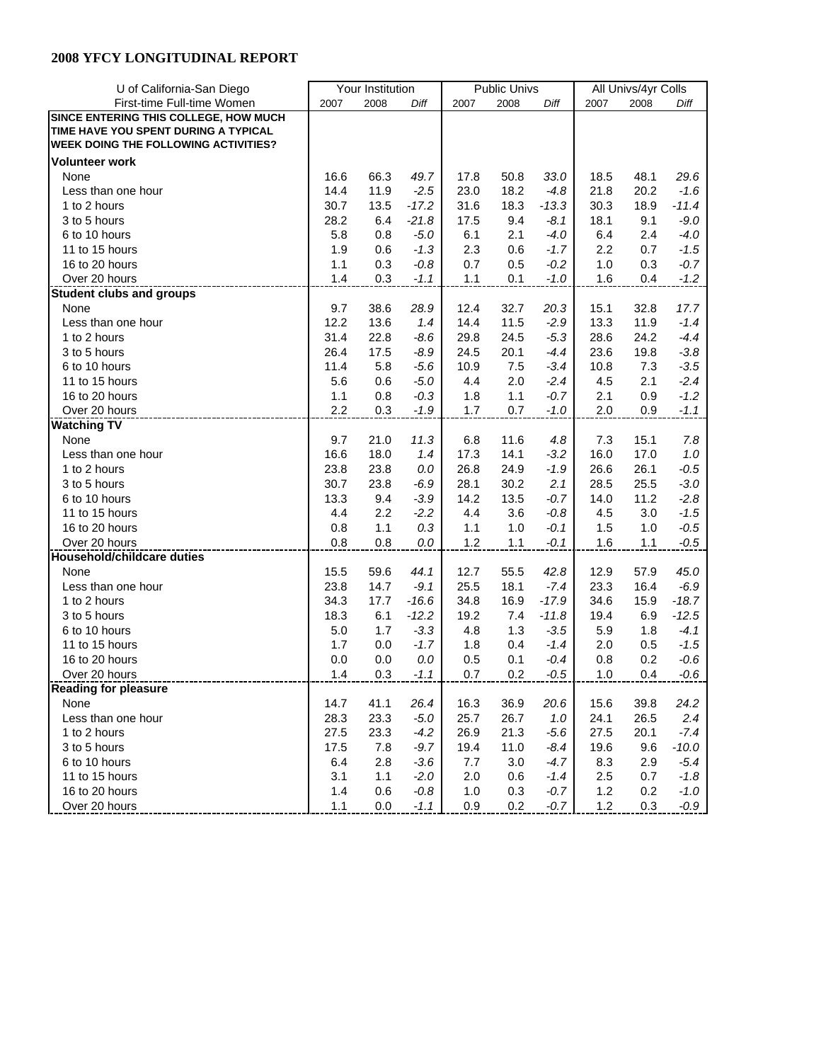| U of California-San Diego                   |             | Your Institution |         | <b>Public Univs</b> |            |                  | All Univs/4yr Colls |            |                  |
|---------------------------------------------|-------------|------------------|---------|---------------------|------------|------------------|---------------------|------------|------------------|
| First-time Full-time Women                  | 2007        | 2008             | Diff    | 2007                | 2008       | Diff             | 2007                | 2008       | Diff             |
| SINCE ENTERING THIS COLLEGE, HOW MUCH       |             |                  |         |                     |            |                  |                     |            |                  |
| TIME HAVE YOU SPENT DURING A TYPICAL        |             |                  |         |                     |            |                  |                     |            |                  |
| <b>WEEK DOING THE FOLLOWING ACTIVITIES?</b> |             |                  |         |                     |            |                  |                     |            |                  |
| <b>Volunteer work</b>                       |             |                  |         |                     |            |                  |                     |            |                  |
| None                                        | 16.6        | 66.3             | 49.7    | 17.8                | 50.8       | 33.0             | 18.5                | 48.1       | 29.6             |
| Less than one hour                          | 14.4        | 11.9             | $-2.5$  | 23.0                | 18.2       | $-4.8$           | 21.8                | 20.2       | $-1.6$           |
| 1 to 2 hours                                | 30.7        | 13.5             | $-17.2$ | 31.6                | 18.3       | $-13.3$          | 30.3                | 18.9       | $-11.4$          |
| 3 to 5 hours                                | 28.2        | 6.4              | $-21.8$ | 17.5                | 9.4        | $-8.1$           | 18.1                | 9.1        | $-9.0$           |
| 6 to 10 hours                               | 5.8         | 0.8              | $-5.0$  | 6.1                 | 2.1        | $-4.0$           | 6.4                 | 2.4        | $-4.0$           |
| 11 to 15 hours                              | 1.9         | 0.6              | $-1.3$  | 2.3                 | 0.6        | $-1.7$           | 2.2                 | 0.7        | $-1.5$           |
| 16 to 20 hours                              | 1.1         | 0.3              | $-0.8$  | 0.7                 | 0.5        | $-0.2$           | $1.0$               | 0.3        | $-0.7$           |
| Over 20 hours                               | 1.4         | 0.3              | $-1.1$  | 1.1                 | 0.1        | $-1.0$           | 1.6                 | 0.4        | $-1.2$           |
| <b>Student clubs and groups</b>             |             |                  |         |                     |            |                  |                     |            |                  |
| None                                        | 9.7         | 38.6             | 28.9    | 12.4                | 32.7       | 20.3             | 15.1                | 32.8       | 17.7             |
| Less than one hour                          | 12.2        | 13.6             | 1.4     | 14.4                | 11.5       | $-2.9$           | 13.3                | 11.9       | $-1.4$           |
| 1 to 2 hours                                | 31.4        | 22.8             |         |                     | 24.5       | $-5.3$           | 28.6                | 24.2       | $-4.4$           |
| 3 to 5 hours                                | 26.4        | 17.5             | $-8.6$  | 29.8<br>24.5        | 20.1       | $-4.4$           | 23.6                | 19.8       |                  |
|                                             |             |                  | $-8.9$  |                     |            |                  |                     |            | $-3.8$           |
| 6 to 10 hours<br>11 to 15 hours             | 11.4<br>5.6 | 5.8              | $-5.6$  | 10.9<br>4.4         | 7.5<br>2.0 | $-3.4$<br>$-2.4$ | 10.8<br>4.5         | 7.3<br>2.1 | $-3.5$<br>$-2.4$ |
| 16 to 20 hours                              | 1.1         | 0.6              | $-5.0$  |                     | 1.1        |                  | 2.1                 |            |                  |
|                                             | 2.2         | 0.8              | $-0.3$  | 1.8                 | 0.7        | $-0.7$           |                     | 0.9        | $-1.2$           |
| Over 20 hours                               |             | 0.3              | $-1.9$  | 1.7                 |            | $-1.0$           | 2.0                 | 0.9        | $-1.1$           |
| <b>Watching TV</b>                          |             |                  |         |                     |            |                  |                     |            |                  |
| None                                        | 9.7         | 21.0             | 11.3    | 6.8                 | 11.6       | 4.8              | 7.3                 | 15.1       | $7.8\,$          |
| Less than one hour                          | 16.6        | 18.0             | 1.4     | 17.3                | 14.1       | $-3.2$           | 16.0                | 17.0       | $1.0$            |
| 1 to 2 hours                                | 23.8        | 23.8             | 0.0     | 26.8                | 24.9       | $-1.9$           | 26.6                | 26.1       | $-0.5$           |
| 3 to 5 hours                                | 30.7        | 23.8             | $-6.9$  | 28.1                | 30.2       | 2.1              | 28.5                | 25.5       | $-3.0$           |
| 6 to 10 hours                               | 13.3        | 9.4              | $-3.9$  | 14.2                | 13.5       | $-0.7$           | 14.0                | 11.2       | $-2.8$           |
| 11 to 15 hours                              | 4.4         | 2.2              | $-2.2$  | 4.4                 | 3.6        | $-0.8$           | 4.5                 | 3.0        | $-1.5$           |
| 16 to 20 hours                              | 0.8         | 1.1              | 0.3     | 1.1                 | 1.0        | $-0.1$           | 1.5                 | 1.0        | $-0.5$           |
| Over 20 hours                               | 0.8         | 0.8              | 0.0     | 1.2                 | 1.1        | $-0.1$           | 1.6                 | 1.1        | $-0.5$           |
| <b>Household/childcare duties</b>           |             |                  |         |                     |            |                  |                     |            |                  |
| None                                        | 15.5        | 59.6             | 44.1    | 12.7                | 55.5       | 42.8             | 12.9                | 57.9       | 45.0             |
| Less than one hour                          | 23.8        | 14.7             | $-9.1$  | 25.5                | 18.1       | $-7.4$           | 23.3                | 16.4       | $-6.9$           |
| 1 to 2 hours                                | 34.3        | 17.7             | $-16.6$ | 34.8                | 16.9       | $-17.9$          | 34.6                | 15.9       | $-18.7$          |
| 3 to 5 hours                                | 18.3        | 6.1              | $-12.2$ | 19.2                | 7.4        | $-11.8$          | 19.4                | 6.9        | $-12.5$          |
| 6 to 10 hours                               | 5.0         | 1.7              | $-3.3$  | 4.8                 | 1.3        | $-3.5$           | 5.9                 | 1.8        | $-4.1$           |
| 11 to 15 hours                              | 1.7         | 0.0              | $-1.7$  | 1.8                 | 0.4        | -1.4             | 2.0                 | 0.5        | $-1.5$           |
| 16 to 20 hours                              | 0.0         | 0.0              | 0.0     | 0.5                 | 0.1        | $-0.4$           | 0.8                 | 0.2        | $-0.6$           |
| Over 20 hours                               | 1.4         | 0.3              | $-1.1$  | 0.7                 | 0.2        | $-0.5$           | 1.0                 | 0.4        | $-0.6$           |
| <b>Reading for pleasure</b>                 |             |                  |         |                     |            |                  |                     |            |                  |
| None                                        | 14.7        | 41.1             | 26.4    | 16.3                | 36.9       | 20.6             | 15.6                | 39.8       | 24.2             |
| Less than one hour                          | 28.3        | 23.3             | $-5.0$  | 25.7                | 26.7       | 1.0              | 24.1                | 26.5       | 2.4              |
| 1 to 2 hours                                | 27.5        | 23.3             | $-4.2$  | 26.9                | 21.3       | $-5.6$           | 27.5                | 20.1       | $-7.4$           |
| 3 to 5 hours                                | 17.5        | 7.8              | $-9.7$  | 19.4                | 11.0       | $-8.4$           | 19.6                | 9.6        | $-10.0$          |
| 6 to 10 hours                               | 6.4         | 2.8              | $-3.6$  | 7.7                 | 3.0        | $-4.7$           | 8.3                 | 2.9        | $-5.4$           |
| 11 to 15 hours                              | 3.1         | 1.1              | $-2.0$  | 2.0                 | 0.6        | $-1.4$           | 2.5                 | 0.7        | $-1.8$           |
| 16 to 20 hours                              | 1.4         | 0.6              | $-0.8$  | 1.0                 | 0.3        | $-0.7$           | 1.2                 | 0.2        | $-1.0$           |
| Over 20 hours                               | 1.1         | 0.0              | $-1.1$  | 0.9                 | 0.2        | $-0.7$           | $1.2$               | 0.3        | $-0.9$           |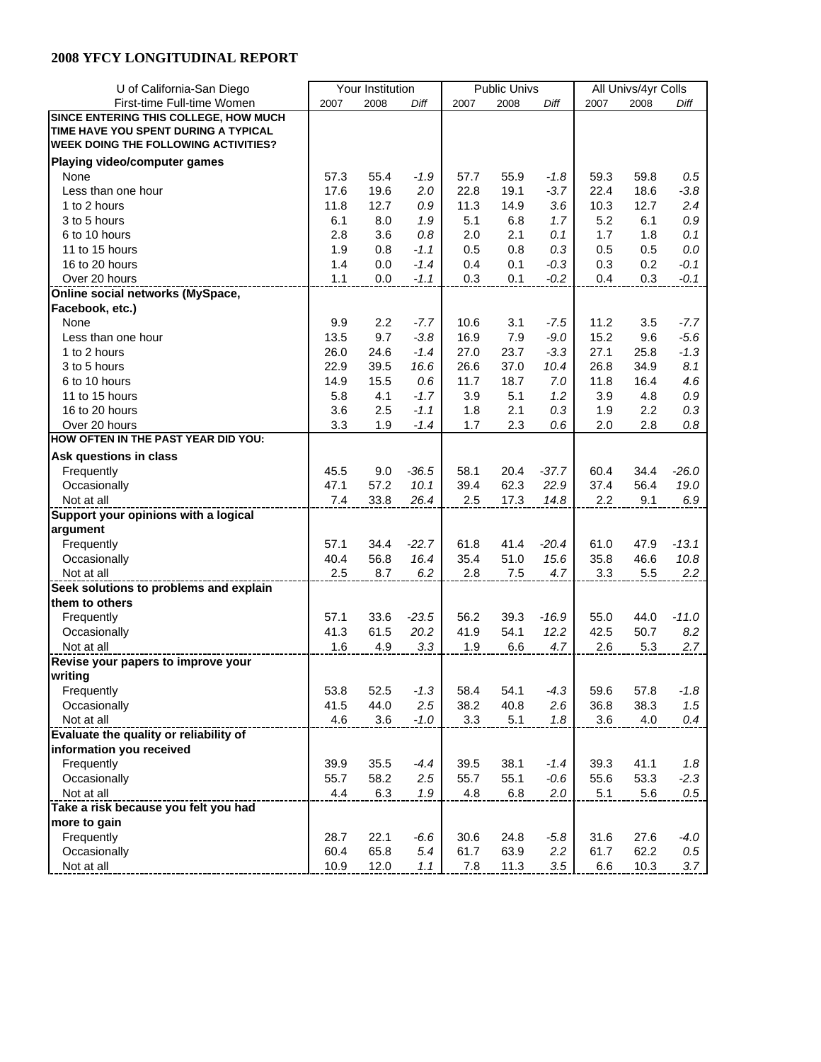| U of California-San Diego                     |      | Your Institution |         |      | <b>Public Univs</b> |         | All Univs/4yr Colls |      |         |
|-----------------------------------------------|------|------------------|---------|------|---------------------|---------|---------------------|------|---------|
| First-time Full-time Women                    | 2007 | 2008             | Diff    | 2007 | 2008                | Diff    | 2007                | 2008 | Diff    |
| SINCE ENTERING THIS COLLEGE, HOW MUCH         |      |                  |         |      |                     |         |                     |      |         |
| TIME HAVE YOU SPENT DURING A TYPICAL          |      |                  |         |      |                     |         |                     |      |         |
| <b>WEEK DOING THE FOLLOWING ACTIVITIES?</b>   |      |                  |         |      |                     |         |                     |      |         |
| Playing video/computer games                  |      |                  |         |      |                     |         |                     |      |         |
| None                                          | 57.3 | 55.4             | $-1.9$  | 57.7 | 55.9                | $-1.8$  | 59.3                | 59.8 | 0.5     |
| Less than one hour                            | 17.6 | 19.6             | 2.0     | 22.8 | 19.1                | $-3.7$  | 22.4                | 18.6 | $-3.8$  |
| 1 to 2 hours                                  | 11.8 | 12.7             | 0.9     | 11.3 | 14.9                | 3.6     | 10.3                | 12.7 | 2.4     |
| 3 to 5 hours                                  | 6.1  | 8.0              | 1.9     | 5.1  | 6.8                 | 1.7     | 5.2                 | 6.1  | $0.9\,$ |
| 6 to 10 hours                                 | 2.8  | 3.6              | 0.8     | 2.0  | 2.1                 | 0.1     | 1.7                 | 1.8  | 0.1     |
| 11 to 15 hours                                | 1.9  | 0.8              | $-1.1$  | 0.5  | 0.8                 | 0.3     | 0.5                 | 0.5  | $0.0\,$ |
| 16 to 20 hours                                | 1.4  | 0.0              | $-1.4$  | 0.4  | 0.1                 | $-0.3$  | 0.3                 | 0.2  | $-0.1$  |
| Over 20 hours                                 | 1.1  | 0.0              | $-1.1$  | 0.3  | 0.1                 | $-0.2$  | 0.4                 | 0.3  | $-0.1$  |
| Online social networks (MySpace,              |      |                  |         |      |                     |         |                     |      |         |
| Facebook, etc.)                               |      |                  |         |      |                     |         |                     |      |         |
|                                               |      |                  |         |      |                     |         |                     |      |         |
| None                                          | 9.9  | 2.2              | $-7.7$  | 10.6 | 3.1                 | $-7.5$  | 11.2                | 3.5  | $-7.7$  |
| Less than one hour                            | 13.5 | 9.7              | $-3.8$  | 16.9 | 7.9                 | $-9.0$  | 15.2                | 9.6  | $-5.6$  |
| 1 to 2 hours                                  | 26.0 | 24.6             | $-1.4$  | 27.0 | 23.7                | $-3.3$  | 27.1                | 25.8 | $-1.3$  |
| 3 to 5 hours                                  | 22.9 | 39.5             | 16.6    | 26.6 | 37.0                | 10.4    | 26.8                | 34.9 | 8.1     |
| 6 to 10 hours                                 | 14.9 | 15.5             | 0.6     | 11.7 | 18.7                | 7.0     | 11.8                | 16.4 | 4.6     |
| 11 to 15 hours                                | 5.8  | 4.1              | $-1.7$  | 3.9  | 5.1                 | 1.2     | 3.9                 | 4.8  | $0.9\,$ |
| 16 to 20 hours                                | 3.6  | 2.5              | $-1.1$  | 1.8  | 2.1                 | 0.3     | 1.9                 | 2.2  | 0.3     |
| Over 20 hours                                 | 3.3  | 1.9              | $-1.4$  | 1.7  | 2.3                 | 0.6     | 2.0                 | 2.8  | 0.8     |
| HOW OFTEN IN THE PAST YEAR DID YOU:           |      |                  |         |      |                     |         |                     |      |         |
| Ask questions in class                        |      |                  |         |      |                     |         |                     |      |         |
| Frequently                                    | 45.5 | 9.0              | $-36.5$ | 58.1 | 20.4                | $-37.7$ | 60.4                | 34.4 | $-26.0$ |
| Occasionally                                  | 47.1 | 57.2             | 10.1    | 39.4 | 62.3                | 22.9    | 37.4                | 56.4 | 19.0    |
| Not at all                                    | 7.4  | 33.8             | 26.4    | 2.5  | 17.3                | 14.8    | 2.2                 | 9.1  | 6.9     |
| Support your opinions with a logical          |      |                  |         |      |                     |         |                     |      |         |
| argument                                      |      |                  |         |      |                     |         |                     |      |         |
| Frequently                                    | 57.1 | 34.4             | $-22.7$ | 61.8 | 41.4                | $-20.4$ | 61.0                | 47.9 | $-13.1$ |
| Occasionally                                  | 40.4 | 56.8             | 16.4    | 35.4 | 51.0                | 15.6    | 35.8                | 46.6 | 10.8    |
| Not at all                                    | 2.5  | 8.7              | 6.2     | 2.8  | 7.5                 | 4.7     | 3.3                 | 5.5  | 2.2     |
| Seek solutions to problems and explain        |      |                  |         |      |                     |         |                     |      |         |
| them to others                                |      |                  |         |      |                     |         |                     |      |         |
| Frequently                                    | 57.1 | 33.6             | $-23.5$ | 56.2 | 39.3                | $-16.9$ | 55.0                | 44.0 | $-11.0$ |
| Occasionally                                  | 41.3 | 61.5             | 20.2    | 41.9 | 54.1                | 12.2    | 42.5                | 50.7 | 8.2     |
| Not at all                                    | 1.6  | 4.9              | 3.3     | 1.9  | 6.6                 | 4.7     | 2.6                 | 5.3  | 2.7     |
| Revise your papers to improve your            |      |                  |         |      |                     |         |                     |      |         |
| writing                                       |      |                  |         |      |                     |         |                     |      |         |
| Frequently                                    | 53.8 | 52.5             | $-1.3$  | 58.4 | 54.1                | $-4.3$  | 59.6                | 57.8 | $-1.8$  |
| Occasionally                                  | 41.5 | 44.0             | 2.5     | 38.2 | 40.8                | 2.6     | 36.8                | 38.3 | 1.5     |
| Not at all                                    | 4.6  | 3.6              | $-1.0$  | 3.3  | 5.1                 | 1.8     | 3.6                 | 4.0  | 0.4     |
| <b>Evaluate the quality or reliability of</b> |      |                  |         |      |                     |         |                     |      |         |
| information you received                      |      |                  |         |      |                     |         |                     |      |         |
| Frequently                                    | 39.9 | 35.5             | $-4.4$  | 39.5 | 38.1                | $-1.4$  | 39.3                | 41.1 | 1.8     |
| Occasionally                                  | 55.7 | 58.2             | 2.5     | 55.7 | 55.1                | $-0.6$  | 55.6                | 53.3 | $-2.3$  |
| Not at all                                    | 4.4  | 6.3              | 1.9     | 4.8  | 6.8                 | 2.0     | 5.1                 | 5.6  | $0.5\,$ |
| Take a risk because you felt you had          |      |                  |         |      |                     |         |                     |      |         |
| more to gain                                  |      |                  |         |      |                     |         |                     |      |         |
| Frequently                                    | 28.7 | 22.1             | $-6.6$  | 30.6 | 24.8                | $-5.8$  | 31.6                | 27.6 | $-4.0$  |
| Occasionally                                  | 60.4 | 65.8             | 5.4     | 61.7 | 63.9                | 2.2     | 61.7                | 62.2 | $0.5\,$ |
| Not at all                                    | 10.9 | 12.0             | 1.1     | 7.8  | 11.3                | 3.5     | 6.6                 | 10.3 | 3.7     |
|                                               |      |                  |         |      |                     |         |                     |      |         |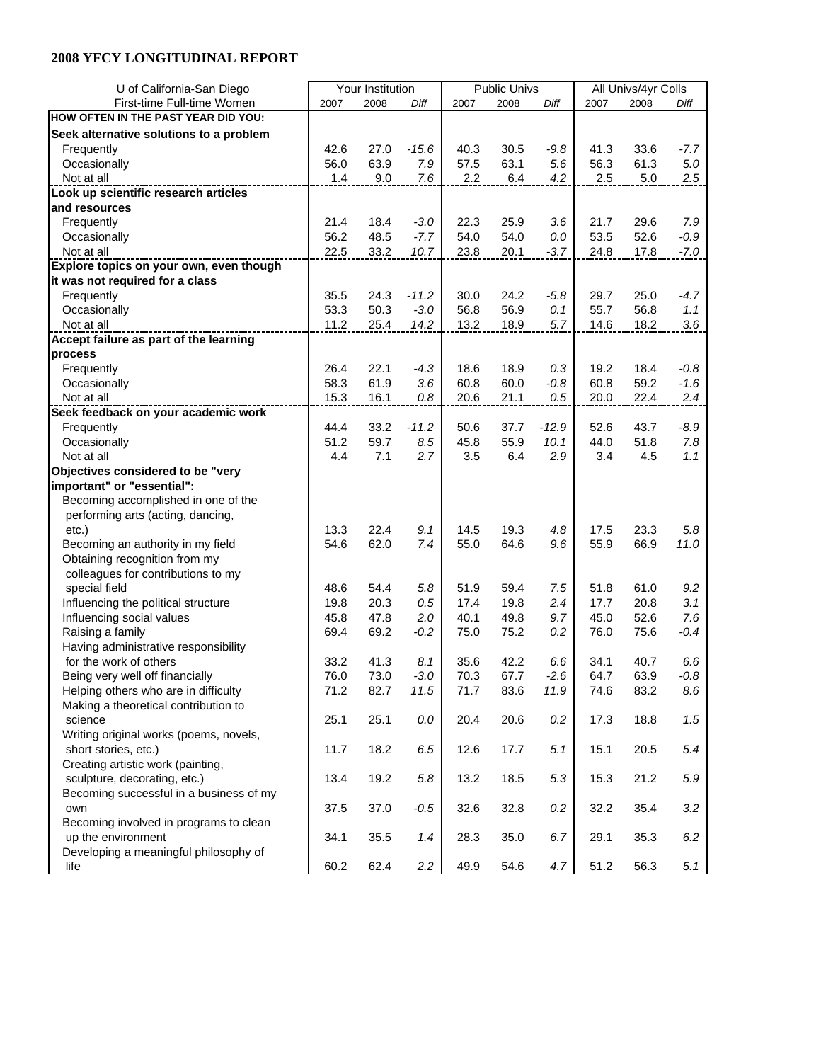| U of California-San Diego               |      | Your Institution |         |      | <b>Public Univs</b> |         | All Univs/4yr Colls |      |         |
|-----------------------------------------|------|------------------|---------|------|---------------------|---------|---------------------|------|---------|
| First-time Full-time Women              | 2007 | 2008             | Diff    | 2007 | 2008                | Diff    | 2007                | 2008 | Diff    |
| HOW OFTEN IN THE PAST YEAR DID YOU:     |      |                  |         |      |                     |         |                     |      |         |
| Seek alternative solutions to a problem |      |                  |         |      |                     |         |                     |      |         |
| Frequently                              | 42.6 | 27.0             | $-15.6$ | 40.3 | 30.5                | $-9.8$  | 41.3                | 33.6 | $-7.7$  |
| Occasionally                            | 56.0 | 63.9             | 7.9     | 57.5 | 63.1                | 5.6     | 56.3                | 61.3 | 5.0     |
| Not at all                              | 1.4  | 9.0              | 7.6     | 2.2  | 6.4                 | 4.2     | 2.5                 | 5.0  | 2.5     |
| Look up scientific research articles    |      |                  |         |      |                     |         |                     |      |         |
| and resources                           |      |                  |         |      |                     |         |                     |      |         |
| Frequently                              | 21.4 | 18.4             | $-3.0$  | 22.3 | 25.9                | 3.6     | 21.7                | 29.6 | 7.9     |
|                                         | 56.2 | 48.5             | $-7.7$  | 54.0 | 54.0                | 0.0     | 53.5                | 52.6 | $-0.9$  |
| Occasionally<br>Not at all              | 22.5 | 33.2             | 10.7    | 23.8 | 20.1                | $-3.7$  | 24.8                |      | $-7.0$  |
|                                         |      |                  |         |      |                     |         |                     | 17.8 |         |
| Explore topics on your own, even though |      |                  |         |      |                     |         |                     |      |         |
| it was not required for a class         |      |                  |         |      |                     |         |                     |      |         |
| Frequently                              | 35.5 | 24.3             | $-11.2$ | 30.0 | 24.2                | $-5.8$  | 29.7                | 25.0 | $-4.7$  |
| Occasionally                            | 53.3 | 50.3             | $-3.0$  | 56.8 | 56.9                | 0.1     | 55.7                | 56.8 | 1.1     |
| Not at all                              | 11.2 | 25.4             | 14.2    | 13.2 | 18.9                | 5.7     | 14.6                | 18.2 | 3.6     |
| Accept failure as part of the learning  |      |                  |         |      |                     |         |                     |      |         |
| process                                 |      |                  |         |      |                     |         |                     |      |         |
| Frequently                              | 26.4 | 22.1             | $-4.3$  | 18.6 | 18.9                | 0.3     | 19.2                | 18.4 | $-0.8$  |
| Occasionally                            | 58.3 | 61.9             | 3.6     | 60.8 | 60.0                | $-0.8$  | 60.8                | 59.2 | $-1.6$  |
| Not at all                              | 15.3 | 16.1             | 0.8     | 20.6 | 21.1                | 0.5     | 20.0                | 22.4 | 2.4     |
| Seek feedback on your academic work     |      |                  |         |      |                     |         |                     |      |         |
| Frequently                              | 44.4 | 33.2             | $-11.2$ | 50.6 | 37.7                | $-12.9$ | 52.6                | 43.7 | $-8.9$  |
| Occasionally                            | 51.2 | 59.7             | 8.5     | 45.8 | 55.9                | 10.1    | 44.0                | 51.8 | 7.8     |
| Not at all                              | 4.4  | 7.1              | 2.7     | 3.5  | 6.4                 | 2.9     | 3.4                 | 4.5  | 1.1     |
| Objectives considered to be "very       |      |                  |         |      |                     |         |                     |      |         |
| important" or "essential":              |      |                  |         |      |                     |         |                     |      |         |
| Becoming accomplished in one of the     |      |                  |         |      |                     |         |                     |      |         |
| performing arts (acting, dancing,       |      |                  |         |      |                     |         |                     |      |         |
| etc.)                                   | 13.3 | 22.4             | 9.1     | 14.5 | 19.3                | 4.8     | 17.5                | 23.3 | 5.8     |
| Becoming an authority in my field       | 54.6 | 62.0             | 7.4     | 55.0 | 64.6                | 9.6     | 55.9                | 66.9 | 11.0    |
| Obtaining recognition from my           |      |                  |         |      |                     |         |                     |      |         |
| colleagues for contributions to my      |      |                  |         |      |                     |         |                     |      |         |
| special field                           | 48.6 | 54.4             | 5.8     | 51.9 | 59.4                | 7.5     | 51.8                | 61.0 | 9.2     |
| Influencing the political structure     | 19.8 | 20.3             | 0.5     | 17.4 | 19.8                | 2.4     | 17.7                | 20.8 | 3.1     |
| Influencing social values               | 45.8 | 47.8             | 2.0     | 40.1 | 49.8                | 9.7     | 45.0                | 52.6 | 7.6     |
| Raising a family                        | 69.4 | 69.2             | $-0.2$  | 75.0 | 75.2                | 0.2     | 76.0                | 75.6 | $-0.4$  |
| Having administrative responsibility    |      |                  |         |      |                     |         |                     |      |         |
| for the work of others                  | 33.2 | 41.3             | 8.1     | 35.6 | 42.2                | 6.6     | 34.1                | 40.7 | 6.6     |
| Being very well off financially         | 76.0 | 73.0             | $-3.0$  | 70.3 | 67.7                | $-2.6$  | 64.7                | 63.9 | $-0.8$  |
| Helping others who are in difficulty    | 71.2 | 82.7             | 11.5    | 71.7 | 83.6                | 11.9    | 74.6                | 83.2 | 8.6     |
| Making a theoretical contribution to    |      |                  |         |      |                     |         |                     |      |         |
| science                                 | 25.1 | 25.1             | $0.0\,$ | 20.4 | 20.6                | 0.2     | 17.3                | 18.8 | 1.5     |
| Writing original works (poems, novels,  |      |                  |         |      |                     |         |                     |      |         |
| short stories, etc.)                    | 11.7 | 18.2             | 6.5     | 12.6 | 17.7                | 5.1     | 15.1                | 20.5 | 5.4     |
| Creating artistic work (painting,       |      |                  |         |      |                     |         |                     |      |         |
| sculpture, decorating, etc.)            | 13.4 | 19.2             | $5.8\,$ | 13.2 | 18.5                | 5.3     | 15.3                | 21.2 | $5.9\,$ |
| Becoming successful in a business of my |      |                  |         |      |                     |         |                     |      |         |
| own                                     | 37.5 | 37.0             | $-0.5$  | 32.6 | 32.8                | $0.2\,$ | 32.2                | 35.4 | 3.2     |
| Becoming involved in programs to clean  |      |                  |         |      |                     |         |                     |      |         |
| up the environment                      | 34.1 | 35.5             | 1.4     | 28.3 | 35.0                | 6.7     | 29.1                | 35.3 | $6.2\,$ |
| Developing a meaningful philosophy of   |      |                  |         |      |                     |         |                     |      |         |
| life                                    | 60.2 | 62.4             | 2.2     | 49.9 | 54.6                | 4.7     | 51.2                | 56.3 | 5.1     |